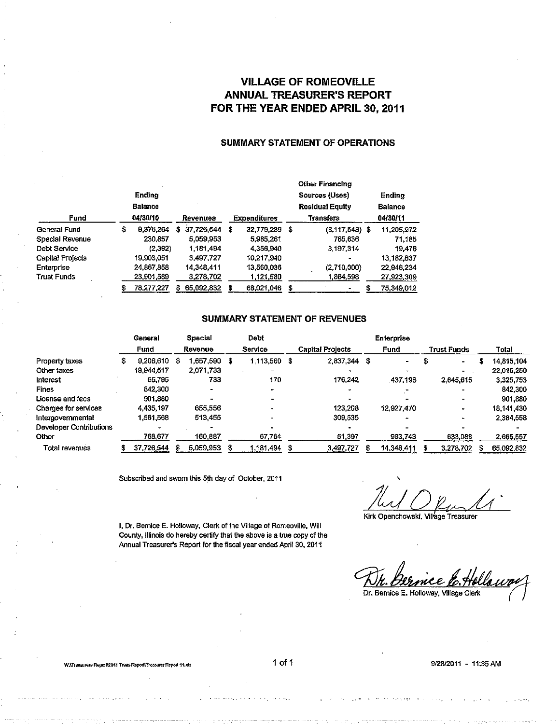### VILLAGE OF ROMEOVILLE ANNUAL TREASURER'S REPORT FOR THE YEAR ENDED APRIL 30, 2011

#### SUMMARY STATEMENT OF OPERATIONS

|                         |        |                |   |            |    |                     | <b>Other Financing</b> |                        |   |                |
|-------------------------|--------|----------------|---|------------|----|---------------------|------------------------|------------------------|---|----------------|
|                         | Ending |                |   |            |    |                     |                        | Sources (Uses)         |   | Ending         |
|                         |        | <b>Balance</b> |   |            |    |                     |                        | <b>Residual Equity</b> |   | <b>Balance</b> |
| Fund                    |        | 04/30/10       |   | Revenues   |    | <b>Expenditures</b> |                        | <b>Transfers</b>       |   | 04/30/11       |
| General Fund            | S      | 9.376,264      | s | 37.726,544 | -5 | 32,779,289          | \$                     | $(3,117,548)$ \$       |   | 11.205,972     |
| Special Revenue         |        | 230.857        |   | 5,059,953  |    | 5,985,261           |                        | 765,636                |   | 71.185         |
| Debt Service            |        | (2,392)        |   | 1.181.494  |    | 4,356,940           |                        | 3.197.314              |   | 19.476         |
| <b>Capital Projects</b> |        | 19,903,051     |   | 3.497.727  |    | 10.217,940          |                        |                        |   | 13.182,837     |
| Enterprise              |        | 24,867,858     |   | 14.348.411 |    | 13,560,036          |                        | (2,710,000)            |   | 22.946,234     |
| Trust Funds             |        | 23,901,589     |   | 3,278,702  |    | 1 121,580           |                        | 1,864,598              |   | 27,923,309     |
|                         |        | 78,277,227     | 5 | 65,092,832 | S  | 68.021.046          | S                      |                        | S | 75.349,012     |

#### SUMMARY STATEMENT OF REVENUES

|                         | General<br>Fund |            | Special<br>Revenue |           |         | Debt      |     | <b>Enterprise</b>       |    |            |  |                      |  |            |
|-------------------------|-----------------|------------|--------------------|-----------|---------|-----------|-----|-------------------------|----|------------|--|----------------------|--|------------|
|                         |                 |            |                    |           | Service |           |     | <b>Capital Projects</b> |    | Fund       |  | <b>Trust Funds</b>   |  | Total      |
| Property taxes          |                 | 9,206,610  | S                  | 1.657,590 | S       | 1 113,560 | - 3 | 2,837,344               | \$ | ۰.         |  | $\ddot{\phantom{0}}$ |  | 14 815,104 |
| Other taxes             |                 | 19,944,517 |                    | 2.071.733 |         |           |     |                         |    |            |  |                      |  | 22.016,250 |
| Interest                |                 | 65,795     |                    | 733       |         | 170       |     | 176,242                 |    | 437.198    |  | 2,645,615            |  | 3,325,753  |
| Fines                   |                 | 842,300    |                    |           |         |           |     |                         |    |            |  |                      |  | 842,300    |
| License and fees        |                 | 901.880    |                    |           |         |           |     |                         |    |            |  |                      |  | 901,880    |
| Charges for services    |                 | 4.435,197  |                    | 655.556   |         |           |     | 123,208                 |    | 12.927.470 |  |                      |  | 18.141,430 |
| Intergovernmental       |                 | 1,561,568  |                    | 513,455   |         |           |     | 309,535                 |    |            |  |                      |  | 2 384,558  |
| Developer Contributions |                 |            |                    |           |         |           |     |                         |    |            |  |                      |  |            |
| Other                   |                 | 768,677    |                    | 160,887   |         | 67,764    |     | 51,397                  |    | 983,743    |  | 633.088              |  | 2 665,557  |
| <b>Total revenues</b>   |                 | 37.726.544 |                    | 5.059,953 |         | 1.181,494 | £   | 3,497,727               |    | 14.348,411 |  | 3,278,702            |  | 65.092,832 |

Subscribed and sworn this 5th day of October, 2011

 $/$ ul Oku $/$ 

Kirk Openchowski, Village Treasurer

Dr. Bernice E. Holloway, Village Clerk

I, Dr. Bernice E. Holloway, Clerk of the Village of Romeoville, Will County, Illinois do hereby certify that the above is a true copy of the Annual Treasurer's Report for the fiscal year ended April 30, 2011

W.\Tieasenew Report\Treas.Report\Treasurer Report 11.xts 1 of 1 9128/2011 - 11:35 AM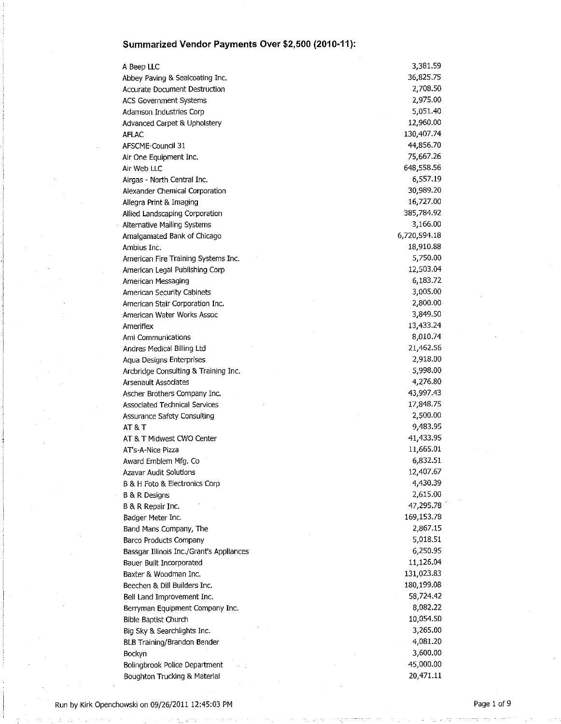A Beep LLC Abbey Paving & Sealcoating Inc. Accurate Document Destruction ACS Government Systems Adamson Industries Corp Advanced Carpet & Upholstery AFLAC AFSCME-Council 31 Air One Equipment Inc. Air Web LLC Airgas - North Central Inc. Alexander Chemical Corporation Allegra Print & Imaging Allied Landscaping Corporation Alternative Mailing Systems Amalgamated Bank of Chicago Ambius Inc. American Fire Training Systems Inc. American Legal Publishing Corp American Messaging American Security Cabinets American Stair Corporation Inc. American Water Works Assoc Ameriflex Ami Communications Andres Medical Billing Ltd Aqua Designs Enterprises Arcbridge Consulting & Training Inc. Arsenault Associates Ascher Brothers Company Inc. Associated Technical Services Assurance Safety Consulting AT&T AT & T Midwest CWO Center AT's-A-Nice Pizza Award Emblem Mfg. Co Azavar Audit Solutions B & H Foto & Electronics Corp B & R Designs B & R Repair Inc. Badger Meter Inc. Band Mans Company, The Barco Products Company Bassgar Illinois Inc./Grant's Appliances Bauer Built Incorporated Baxter & Woodman Inc. Beechen & Dill Builders Inc. Bell Land Improvement Inc. Berryman Equipment Company Inc. Bible Baptist Church Big Sky & Searchlights Inc. BLB Training/Brandon Bender Bockyn Bolingbrook Police Department Boughton Trucking & Material 3,381.59 36,82S.75 2,708.50 2,97S.OO 5,051.40 12,960.00 130,407.74 44,8S6.70 7S,667.26 648,558.56 6,S57.19 30,989.20 16,727.00 385,784.92 3,166.00 6,720,594.18 18,910.88 S,7SO.OO 12,503.04 6,183.72 3,005.00 2,800.00 3,849.SO 13,433.24 8,010.74 21,462.56 2,918.00 S,998.00 4,276.80 43,997.43 17,848.75 2,500.00 9,483.9S 41,433.9S 11,665.01 6,832.51 12,407.67 4,430.39 2,615.00 47,29S.78 169,153.78 2,867.lS S,018.51 6,250.95 11,126.04 131,023.83 180,199.08 58,724.42 8,082.22 10,054.50 3,26S.OO 4,081.20 3,600.00 45,000.00 20,471.11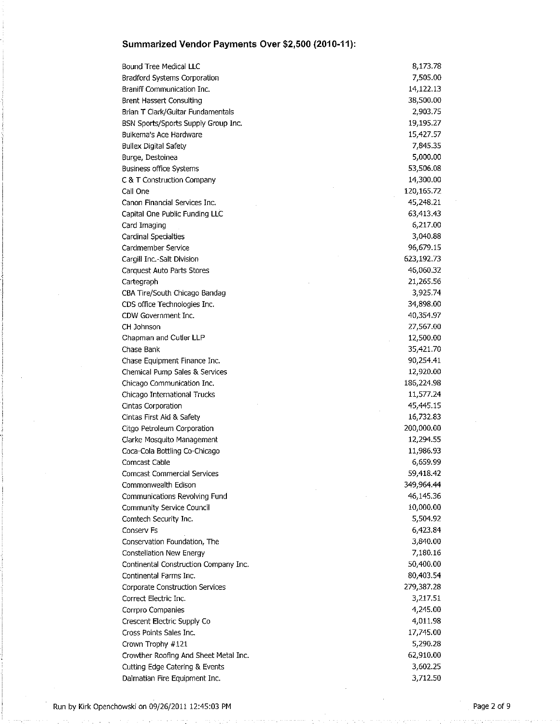| Bound Tree Medical LLC                | 8,173.78   |
|---------------------------------------|------------|
| Bradford Systems Corporation          | 7,505.00   |
| Braniff Communication Inc.            | 14,122.13  |
| <b>Brent Hassert Consulting</b>       | 38,500.00  |
| Brian T Clark/Guitar Fundamentals     | 2,903.75   |
| BSN Sports/Sports Supply Group Inc.   | 19,195.27  |
| Buikema's Ace Hardware                | 15,427.57  |
| <b>Bullex Digital Safety</b>          | 7,845.35   |
| Burge, Destoinea                      | 5,000.00   |
| <b>Business office Systems</b>        | 53,506.08  |
| C & T Construction Company            | 14,300.00  |
| Call One                              | 120,165.72 |
| Canon Financial Services Inc.         | 45,248.21  |
| Capital One Public Funding LLC        | 63,413.43  |
| Card Imaging                          | 6,217.00   |
| Cardinal Specialties                  | 3,040.88   |
| Cardmember Service                    | 96,679.15  |
| Cargill Inc.-Salt Division            | 623,192.73 |
| Carquest Auto Parts Stores            | 46,060.32  |
| Cartegraph                            | 21,265.56  |
| CBA Tire/South Chicago Bandag         | 3,925.74   |
| CDS office Technologies Inc.          | 34,898.00  |
| CDW Government Inc.                   | 40,354.97  |
| CH Johnson                            | 27,567.00  |
| Chapman and Cutler LLP                | 12,500.00  |
| Chase Bank                            | 35,421.70  |
| Chase Equipment Finance Inc.          | 90,254.41  |
| Chemical Pump Sales & Services        | 12,920.00  |
| Chicago Communication Inc.            | 186,224.98 |
| Chicago International Trucks          | 11,577.24  |
| Cintas Corporation                    | 45,445.15  |
| Cintas First Aid & Safety             | 16,732.83  |
| Citgo Petroleum Corporation           | 200,000.00 |
| Clarke Mosquito Management            | 12,294.55  |
| Coca-Cola Bottling Co-Chicago         | 11,986.93  |
| Comcast Cable                         | 6,659.99   |
| Comcast Commercial Services           | 59,418.42  |
| Commonwealth Edison                   | 349,964.44 |
| Communications Revolving Fund         | 46,145.36  |
| Community Service Council             | 10,000.00  |
| Comtech Security Inc.                 | 5,504.92   |
| Conserv Fs                            | 6,423.84   |
| Conservation Foundation, The          | 3,840.00   |
| <b>Constellation New Energy</b>       | 7,180.16   |
| Continental Construction Company Inc. | 50,400.00  |
| Continental Farms Inc.                | 80,403.54  |
| Corporate Construction Services       | 279,387.28 |
| Correct Electric Inc.                 | 3,217.51   |
| Corrpro Companies                     | 4,245.00   |
| Crescent Electric Supply Co           | 4,011.98   |
| Cross Points Sales Inc.               | 17,745.00  |
| Crown Trophy #121                     | 5,290.28   |
| Crowther Roofing And Sheet Metal Inc. | 62,910.00  |
| Cutting Edge Catering & Events        | 3,602.25   |
| Dalmatian Fire Equipment Inc.         | 3,712.50   |
|                                       |            |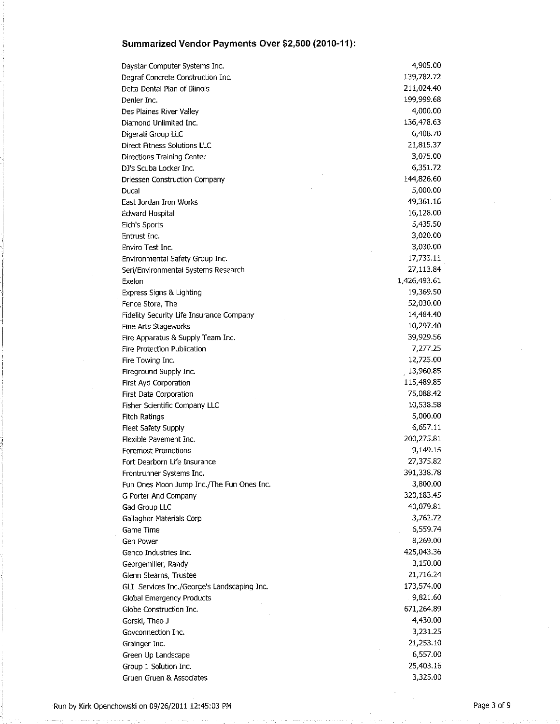| Daystar Computer Systems Inc.               | 4,905.00     |
|---------------------------------------------|--------------|
| Degraf Concrete Construction Inc.           | 139,782.72   |
| Delta Dental Plan of Illinois               | 211,024.40   |
| Denler Inc.                                 | 199,999.68   |
| Des Plaines River Valley                    | 4,000.00     |
| Diamond Unlimited Inc.                      | 136,478.63   |
| Digerati Group LLC                          | 6,408.70     |
| Direct Fitness Solutions LLC                | 21,815.37    |
| Directions Training Center                  | 3,075.00     |
| DJ's Scuba Locker Inc.                      | 6,351.72     |
| Driessen Construction Company               | 144,826.60   |
| Ducal                                       | 5,000.00     |
| East Jordan Iron Works                      | 49,361.16    |
| <b>Edward Hospital</b>                      | 16,128.00    |
| Eich's Sports                               | 5,435.50     |
| Entrust Inc.                                | 3,020.00     |
| Enviro Test Inc.                            | 3,030.00     |
| Environmental Safety Group Inc.             | 17,733.11    |
| Seri/Environmental Systems Research         | 27,113.84    |
| Exelon                                      | 1,426,493.61 |
| Express Signs & Lighting                    | 19,369.50    |
| Fence Store, The                            | 52,030.00    |
| Fidelity Security Life Insurance Company    | 14,484.40    |
| Fine Arts Stageworks                        | 10,297.40    |
| Fire Apparatus & Supply Team Inc.           | 39,929.56    |
| Fire Protection Publication                 | 7,277.25     |
| Fire Towing Inc.                            | 12,725.00    |
| Fireground Supply Inc.                      | 13,960.85    |
| First Ayd Corporation                       | 115,489.85   |
| First Data Corporation                      | 75,088.42    |
| Fisher Scientific Company LLC               | 10,538.58    |
| Fitch Ratings                               | 5,000.00     |
| Fleet Safety Supply                         | 6,657.11     |
| Flexible Pavement Inc.                      | 200,275.81   |
| Foremost Promotions                         | 9,149.15     |
| Fort Dearborn Life Insurance                | 27,375.82    |
| Frontrunner Systems Inc.                    | 391,338.78   |
| Fun Ones Moon Jump Inc./The Fun Ones Inc.   | 3,800.00     |
| G Porter And Company                        | 320,183.45   |
| Gad Group LLC                               | 40,079.81    |
| Gallagher Materials Corp                    | 3,762.72     |
| Game Time                                   | 6,559.74     |
| Gen Power                                   | 8,269.00     |
| Genco Industries Inc.                       | 425,043.36   |
| Georgemiller, Randy                         | 3,150.00     |
| Glenn Stearns, Trustee                      | 21,716.24    |
| GLI Services Inc./George's Landscaping Inc. | 173,574.00   |
| Global Emergency Products                   | 9,821.60     |
| Globe Construction Inc.                     | 671,264.89   |
| Gorski, Theo J                              | 4,430.00     |
| Govconnection Inc.                          | 3,231.25     |
| Grainger Inc.                               | 21,253.10    |
| Green Up Landscape                          | 6,557.00     |
| Group 1 Solution Inc.                       | 25,403.16    |
| Gruen Gruen & Associates                    | 3,325.00     |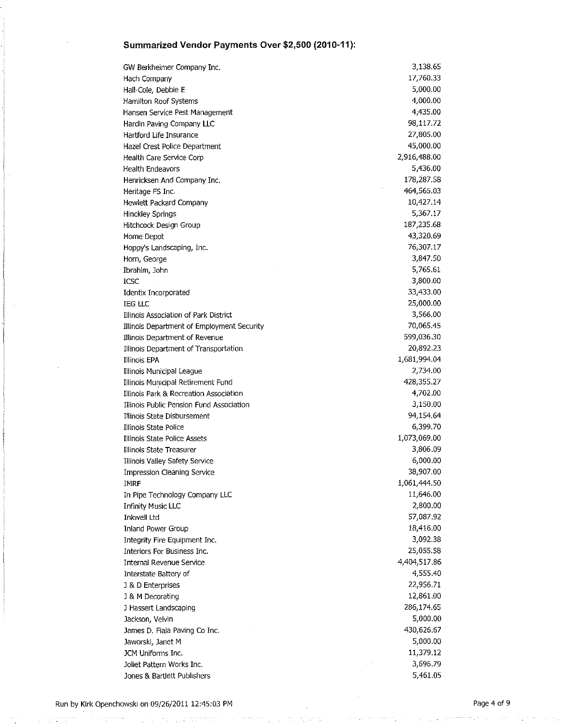| GW Berkheimer Company Inc.                 | 3,138.65     |
|--------------------------------------------|--------------|
| Hach Company                               | 17,760.33    |
| Hall-Cole, Debbie E                        | 5,000.00     |
| Hamilton Roof Systems                      | 4,000.00     |
| Hansen Service Pest Management             | 4,435.00     |
| Hardin Paving Company LLC                  | 98,117.72    |
| Hartford Life Insurance                    | 27,805.00    |
| Hazel Crest Police Department              | 45,000.00    |
| Health Care Service Corp                   | 2,916,488.00 |
| <b>Health Endeavors</b>                    | 5,436.00     |
| Henricksen And Company Inc.                | 178,287.58   |
| Heritage FS Inc.                           | 464,565.03   |
| Hewlett Packard Company                    | 10,427.14    |
| Hinckley Springs                           | 5,367.17     |
| Hitchcock Design Group                     | 187,235.68   |
| Home Depot                                 | 43,320.69    |
| Hoppy's Landscaping, Inc.                  | 76,307.17    |
| Horn, George                               | 3,847.50     |
| Ibrahim, John                              | 5,765.61     |
| <b>ICSC</b>                                | 3,800.00     |
| Identix Incorporated                       | 33,433.00    |
| <b>IEG LLC</b>                             | 25,000.00    |
| Illinois Association of Park District      | 3,566.00     |
| Illinois Department of Employment Security | 70,065.45    |
| Illinois Department of Revenue             | 599,036.30   |
| Illinois Department of Transportation      | 20,892.23    |
| Illinois EPA                               | 1,681,994.04 |
| Illinois Municipal League                  | 2,734.00     |
| Illinois Municipal Retirement Fund         | 428,355.27   |
| Illinois Park & Recreation Association     | 4,702.00     |
| Illinois Public Pension Fund Association   | 3,150.00     |
| Illinois State Disbursement                | 94,154.64    |
| Illinois State Police                      | 6,399.70     |
| Illinois State Police Assets               | 1,073,069.00 |
| Illinois State Treasurer                   | 3,806.09     |
| Illinois Valley Safety Service             | 6,000.00     |
| Impression Cleaning Service                | 38,907.00    |
| <b>IMRF</b>                                | 1,061,444.50 |
| In Pipe Technology Company LLC             | 11,646.00    |
| <b>Infinity Music LLC</b>                  | 2,800.00     |
| Inkwell Ltd                                | 57,087.92    |
| Inland Power Group                         | 18,416.00    |
| Integrity Fire Equipment Inc.              | 3,092.38     |
| Interiors For Business Inc.                | 25,055.58    |
| Internal Revenue Service                   | 4,404,517.86 |
| Interstate Battery of                      | 4,555.40     |
| J & D Enterprises                          | 22,956.71    |
| J & M Decorating                           | 12,861.00    |
| J Hassert Landscaping                      | 286,174.65   |
| Jackson, Velvin                            | 5,000.00     |
| James D. Fiala Paving Co Inc.              | 430,626.67   |
| Jaworski, Janet M                          | 5,000.00     |
| JCM Uniforms Inc.                          | 11,379.12    |
| Joliet Pattern Works Inc.                  | 3,696.79     |
| Jones & Bartlett Publishers                | 5,461.05     |
|                                            |              |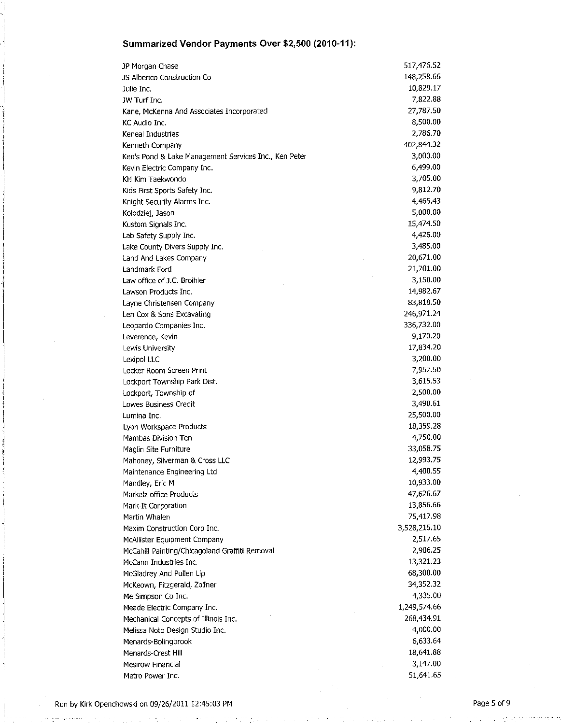| JP Morgan Chase                                       | 517,476.52   |
|-------------------------------------------------------|--------------|
| JS Alberico Construction Co                           | 148,258.66   |
| Julie Inc.                                            | 10,829.17    |
| JW Turf Inc.                                          | 7,822.88     |
| Kane, McKenna And Associates Incorporated             | 27,787.50    |
| KC Audio Inc.                                         | 8,500.00     |
| Keneal Industries                                     | 2,786.70     |
| Kenneth Company                                       | 402,844.32   |
| Ken's Pond & Lake Management Services Inc., Ken Peter | 3,000.00     |
| Kevin Electric Company Inc.                           | 6,499.00     |
| KH Kim Taekwondo                                      | 3,705.00     |
| Kids First Sports Safety Inc.                         | 9,812.70     |
| Knight Security Alarms Inc.                           | 4,465.43     |
| Kolodziej, Jason                                      | 5,000.00     |
| Kustom Signals Inc.                                   | 15,474.50    |
| Lab Safety Supply Inc.                                | 4,426.00     |
| Lake County Divers Supply Inc.                        | 3,485.00     |
| Land And Lakes Company                                | 20,671.00    |
| Landmark Ford                                         | 21,701.00    |
| Law office of J.C. Broihier                           | 3,150.00     |
| Lawson Products Inc.                                  | 14,982.67    |
| Layne Christensen Company                             | 83,818.50    |
| Len Cox & Sons Excavating                             | 246,971.24   |
| Leopardo Companies Inc.                               | 336,732.00   |
| Leverence, Kevin                                      | 9,170.20     |
| Lewis University                                      | 17,834.20    |
| Lexipol LLC                                           | 3,200.00     |
| Locker Room Screen Print                              | 7,957.50     |
| Lockport Township Park Dist.                          | 3,615.53     |
| Lockport, Township of                                 | 2,500.00     |
| Lowes Business Credit                                 | 3,490.61     |
| Lumina Inc.                                           | 25,500.00    |
| Lyon Workspace Products                               | 18,359.28    |
| Mambas Division Ten                                   | 4,750.00     |
| Maglin Site Furniture                                 | 33,058.75    |
| Mahoney, Silverman & Cross LLC                        | 12,993.75    |
| Maintenance Engineering Ltd                           | 4,400.55     |
| Mandley, Eric M                                       | 10,933.00    |
| Markelz office Products                               | 47,626.67    |
| Mark-It Corporation                                   | 13,856.66    |
| Martin Whalen                                         | 75,417.98    |
| Maxim Construction Corp Inc.                          | 3,528,215.10 |
| McAllister Equipment Company                          | 2,517.65     |
| McCahill Painting/Chicagoland Graffiti Removal        | 2,906.25     |
| McCann Industries Inc.                                | 13,321.23    |
| McGladrey And Pullen Lip                              | 68,300.00    |
| McKeown, Fitzgerald, Zollner                          | 34,352.32    |
| Me Simpson Co Inc.                                    | 4,335.00     |
| Meade Electric Company Inc.                           | 1,249,574.66 |
| Mechanical Concepts of Illinois Inc.                  | 268,434.91   |
| Melissa Noto Design Studio Inc.                       | 4,000.00     |
| Menards-Bolingbrook                                   | 6,633.64     |
| Menards-Crest Hill                                    | 18,641.88    |
| Mesirow Financial                                     | 3,147.00     |
| Metro Power Inc.                                      | 51,641.65    |
|                                                       |              |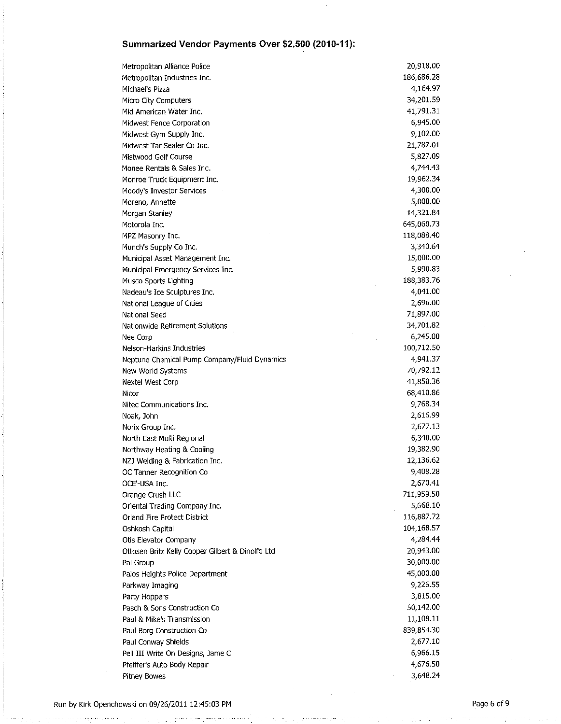| Metropolitan Alliance Police                     | 20,918.00  |
|--------------------------------------------------|------------|
| Metropolitan Industries Inc.                     | 186,686.28 |
| Michael's Pizza                                  | 4,164.97   |
| Micro City Computers                             | 34,201.59  |
| Mid American Water Inc.                          | 41,791.31  |
| Midwest Fence Corporation                        | 6,945.00   |
| Midwest Gym Supply Inc.                          | 9,102.00   |
| Midwest Tar Sealer Co Inc.                       | 21,787.01  |
| Mistwood Golf Course                             | 5,827.09   |
| Monee Rentals & Sales Inc.                       | 4,744.43   |
| Monroe Truck Equipment Inc.                      | 19,962.34  |
| Moody's Investor Services                        | 4,300.00   |
| Moreno, Annette                                  | 5,000.00   |
| Morgan Stanley                                   | 14,321.84  |
| Motorola Inc.                                    | 645,060.73 |
| MPZ Masonry Inc.                                 | 118,088.40 |
| Munch's Supply Co Inc.                           | 3,340.64   |
| Municipal Asset Management Inc.                  | 15,000.00  |
| Municipal Emergency Services Inc.                | 5,990.83   |
| Musco Sports Lighting                            | 188,383.76 |
| Nadeau's Ice Sculptures Inc.                     | 4,041.00   |
| National League of Cities                        | 2,696.00   |
| National Seed                                    | 71,897.00  |
| Nationwide Retirement Solutions                  | 34,701.82  |
| Nee Corp                                         | 6,245.00   |
| Nelson-Harkins Industries                        | 100,712.50 |
| Neptune Chemical Pump Company/Fluid Dynamics     | 4,941.37   |
| New World Systems                                | 70,792.12  |
| Nextel West Corp                                 | 41,850.36  |
| Nicor                                            | 68,410.86  |
| Nitec Communications Inc.                        | 9,768.34   |
| Noak, John                                       | 2,616.99   |
| Norix Group Inc.                                 | 2,677.13   |
| North East Multi Regional                        | 6,340.00   |
| Northway Heating & Cooling                       | 19,382.90  |
| NZJ Welding & Fabrication Inc.                   | 12,136.62  |
| OC Tanner Recognition Co                         | 9,408.28   |
| OCE'-USA Inc.                                    | 2,670.41   |
| Orange Crush LLC                                 | 711,959.50 |
| Oriental Trading Company Inc.                    | 5,668.10   |
| Orland Fire Protect District                     | 116,887.72 |
| Oshkosh Capital                                  | 104,168.57 |
| Otis Elevator Company                            | 4,284.44   |
| Ottosen Britz Kelly Cooper Gilbert & Dinolfo Ltd | 20,943.00  |
| Pal Group                                        | 30,000.00  |
| Palos Heights Police Department                  | 45,000.00  |
| Parkway Imaging                                  | 9,226.55   |
| Party Hoppers                                    | 3,815.00   |
| Pasch & Sons Construction Co                     | 50,142.00  |
| Paul & Mike's Transmission                       | 11,108.11  |
| Paul Borg Construction Co                        | 839,854.30 |
| Paul Conway Shields                              | 2,677.10   |
| Pell III Write On Designs, Jame C                | 6,966.15   |
| Pfeiffer's Auto Body Repair                      | 4,676.50   |
| Pitney Bowes                                     | 3,648.24   |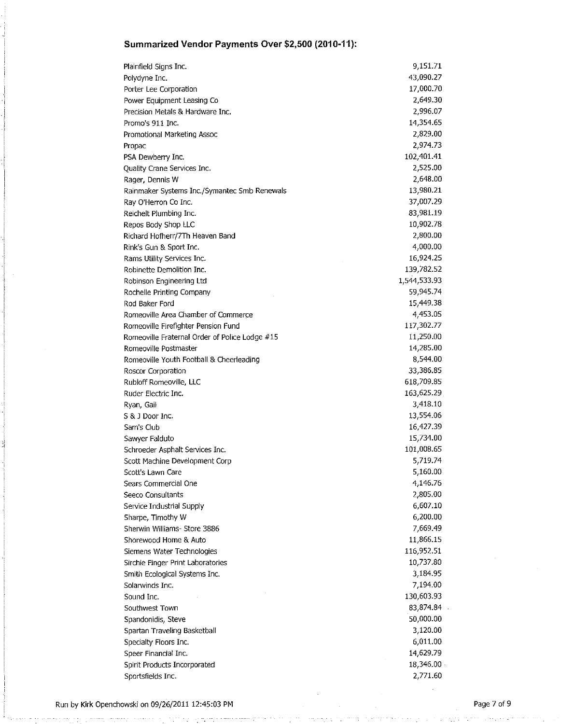| Plainfield Signs Inc.                          | 9,151.71     |
|------------------------------------------------|--------------|
| Polydyne Inc.                                  | 43,090.27    |
| Porter Lee Corporation                         | 17,000.70    |
| Power Equipment Leasing Co                     | 2,649.30     |
| Precision Metals & Hardware Inc.               | 2,996.07     |
| Promo's 911 Inc.                               | 14,354.65    |
| Promotional Marketing Assoc                    | 2,829.00     |
| Propac                                         | 2,974.73     |
| PSA Dewberry Inc.                              | 102,401.41   |
| Quality Crane Services Inc.                    | 2,525.00     |
| Rager, Dennis W                                | 2,648.00     |
| Rainmaker Systems Inc./Symantec Smb Renewals   | 13,980.21    |
| Ray O'Herron Co Inc.                           | 37,007.29    |
| Reichelt Plumbing Inc.                         | 83,981.19    |
| Repos Body Shop LLC                            | 10,902.78    |
| Richard Hofherr/7Th Heaven Band                | 2,800.00     |
| Rink's Gun & Sport Inc.                        | 4,000.00     |
| Rams Utility Services Inc.                     | 16,924.25    |
| Robinette Demolition Inc.                      | 139,782.52   |
| Robinson Engineering Ltd                       | 1,544,533.93 |
| Rochelle Printing Company                      | 59,945.74    |
| Rod Baker Ford                                 | 15,449.38    |
| Romeoville Area Chamber of Commerce            | 4,453.05     |
| Romeoville Firefighter Pension Fund            | 117,302.77   |
| Romeoville Fraternal Order of Police Lodge #15 | 11,250.00    |
| Romeoville Postmaster                          | 14,285.00    |
| Romeoville Youth Football & Cheerleading       | 8,544.00     |
| Roscor Corporation                             | 33,386.85    |
| Rubloff Romeoville, LLC                        | 618,709.85   |
| Ruder Electric Inc.                            | 163,625.29   |
| Ryan, Gail                                     | 3,418.10     |
| S & J Door Inc.                                | 13,554.06    |
| Sam's Club                                     | 16,427.39    |
| Sawyer Falduto                                 | 15,734.00    |
| Schroeder Asphalt Services Inc.                | 101,008.65   |
| Scott Machine Development Corp                 | 5,719.74     |
| Scott's Lawn Care                              | 5,160.00     |
| Sears Commercial One                           | 4,146.76     |
| Seeco Consultants                              | 2,805.00     |
| Service Industrial Supply                      | 6,607.10     |
| Sharpe, Timothy W                              | 6,200.00     |
| Sherwin Williams- Store 3886                   | 7,669.49     |
| Shorewood Home & Auto                          | 11,866.15    |
| Siemens Water Technologies                     | 116,952.51   |
| Sirchie Finger Print Laboratories              | 10,737.80    |
| Smith Ecological Systems Inc.                  | 3,184.95     |
| Solarwinds Inc.                                | 7,194.00     |
| Sound Inc.                                     | 130,603.93   |
| Southwest Town                                 | 83,874.84    |
| Spandonidis, Steve                             | 50,000.00    |
| Spartan Traveling Basketball                   | 3,120.00     |
| Specialty Floors Inc.                          | 6,011.00     |
| Speer Financial Inc.                           | 14,629.79    |
| Spirit Products Incorporated                   | 18,346.00    |
| Sportsfields Inc.                              | 2,771.60     |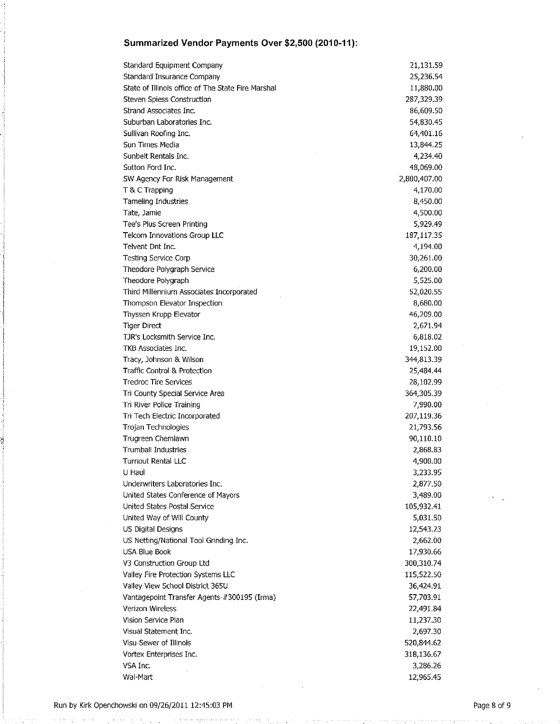| Standard Equipment Company                         | 21,131.59    |
|----------------------------------------------------|--------------|
| Standard Insurance Company                         | 25,236.54    |
| State of Illinois office of The State Fire Marshal | 11,880.00    |
| Steven Spiess Construction                         | 287,329.39   |
| Strand Associates Inc.                             | 86,609.50    |
| Suburban Laboratories Inc.                         | 54,830.45    |
| Sullivan Roofing Inc.                              | 64,401.16    |
| Sun Times Media                                    | 13,844.25    |
| Sunbelt Rentals Inc.                               | 4,234.40     |
| Sutton Ford Inc.                                   | 48,069.00    |
| SW Agency For Risk Management                      | 2,800,407.00 |
| T & C Trapping                                     | 4,170.00     |
| Tameling Industries                                | 8,450.00     |
| Tate, Jamie                                        | 4,500.00     |
| Tee's Plus Screen Printing                         | 5,929.49     |
| Telcom Innovations Group LLC                       | 187,117.35   |
| Telvent Dnt Inc.                                   | 4,194.00     |
| Testing Service Corp                               | 30,261.00    |
| Theodore Polygraph Service                         | 6,200.00     |
| Theodore Polygraph                                 | 5,525.00     |
| Third Millennium Associates Incorporated           | 52,020.55    |
| Thompson Elevator Inspection                       | 8,680.00     |
| Thyssen Krupp Elevator                             | 46,209.00    |
| <b>Tiger Direct</b>                                | 2,671.94     |
| TJR's Locksmith Service Inc.                       | 6,818.02     |
| TKB Associates Inc.                                | 19,152.00    |
| Tracy, Johnson & Wilson                            | 344,813.39   |
| Traffic Control & Protection                       | 25,484.44    |
| <b>Tredroc Tire Services</b>                       | 28,102.99    |
| Tri County Special Service Area                    | 364,305.39   |
| Tri River Police Training                          | 7,990.00     |
| Tri Tech Electric Incorporated                     | 207,119.36   |
| Trojan Technologies                                | 21,793.56    |
| Trugreen Chemlawn                                  | 90,110.10    |
| <b>Trumball Industries</b>                         | 2,868.83     |
| Turnout Rental LLC                                 | 4,900.00     |
| U Haul                                             | 3,233.95     |
| Underwriters Laboratories Inc.                     | 2,877.50     |
| United States Conference of Mayors                 | 3,489.00     |
| United States Postal Service                       | 105,932.41   |
| United Way of Will County                          | 5,031.50     |
| US Digital Designs                                 | 12,543.23    |
| US Netting/National Tool Grinding Inc.             | 2,662.00     |
| USA Blue Book                                      | 17,930.66    |
| V3 Construction Group Ltd                          | 300,310.74   |
| Valley Fire Protection Systems LLC                 | 115,522.50   |
| Valley View School District 365U                   | 36,424.91    |
| Vantagepoint Transfer Agents-#300195 (Irma)        | 57,703.91    |
| Verizon Wireless                                   | 22,491.84    |
| Vision Service Plan                                | 11,237.30    |
| Visual Statement Inc.                              | 2,697.30     |
| Visu-Sewer of Illinois                             | 520,844.62   |
| Vortex Enterprises Inc.                            | 318,136.67   |
| VSA Inc.                                           | 3,286.26     |
| Wal-Mart                                           | 12,965.45    |
|                                                    |              |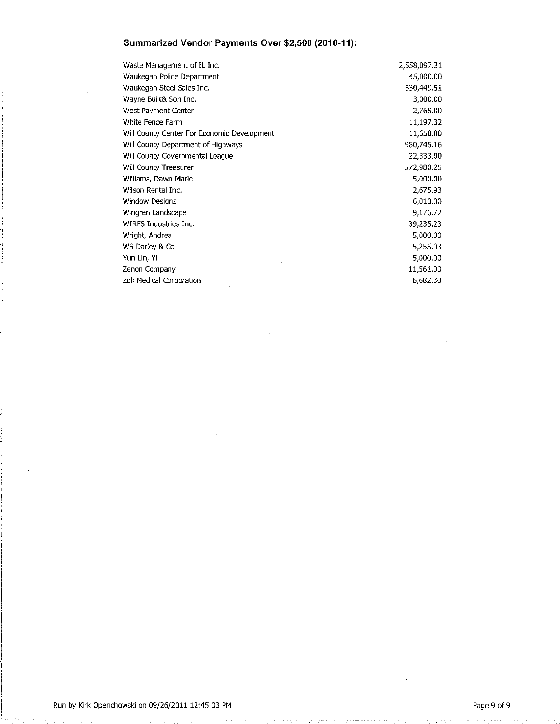| Waste Management of IL Inc.                 | 2,558,097.31 |
|---------------------------------------------|--------------|
| Waukegan Police Department                  | 45,000.00    |
| Waukegan Steel Sales Inc.                   | 530,449.51   |
| Wayne Built& Son Inc.                       | 3,000.00     |
| West Payment Center                         | 2,765.00     |
| White Fence Farm                            | 11,197.32    |
| Will County Center For Economic Development | 11,650.00    |
| Will County Department of Highways          | 980,745.16   |
| Will County Governmental League             | 22,333.00    |
| Will County Treasurer                       | 572,980.25   |
| Williams, Dawn Marie                        | 5,000.00     |
| Wilson Rental Inc.                          | 2,675.93     |
| Window Designs                              | 6,010.00     |
| Wingren Landscape                           | 9,176.72     |
| WIRFS Industries Inc.                       | 39,235.23    |
| Wright, Andrea                              | 5,000.00     |
| WS Darley & Co                              | 5,255.03     |
| Yun Lin, Yi                                 | 5,000.00     |
| Zenon Company                               | 11,561.00    |
| Zoll Medical Corporation                    | 6,682.30     |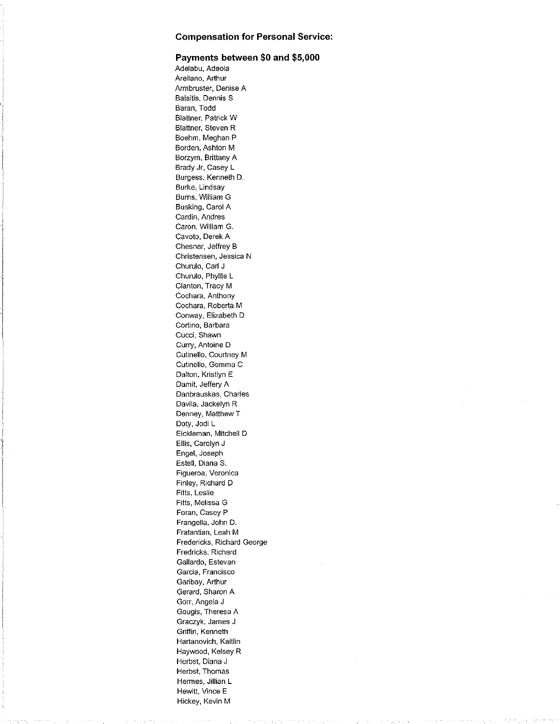#### Payments between \$0 and \$5,000

Adelabu, Adeola Arellano, Arthur Armbruster, Denise A Balsitis, Dennis S Baran, Todd Blattner, Patrick W Blattner, Steven R Boehm, Meghan P Borden, Ashton M Borzym, Brittany A Brady Jr, Casey L Burgess, Kenneth D. Burke, Lindsay Burns, William G Busking, Carol A Cardin, Andres Caron, William G. Cavoto, Derek A Chesner, Jeffrey B Christensen, Jessica N Churulo, Carl J Churulo, Phyllis L Clanton, Tracy M Cochara, Anthony Cochara, Roberta M Conway, Elizabeth D Cortina, Barbara Gucci, Shawn Curry, Antoine D Cutinello, Courtney M Cutinello, Gemma C Dalton, Kristlyn E Damit, Jeffery A Danbrauskas, Charles Davila, Jackelyn R Denney, Matthew T Doty, Jodi L Eickleman, Mitchell D Ellis, Carolyn J Engel, Joseph Estell, Diana S. Figueroa, Veronica Finley, Richard D Fitts, Leslie Fitts, Melissa G Foran, Casey P Frangella, John D. Fratantian, Leah M Fredericks, Richard George Fredricks, Richard Gallardo, Estevan Garcia, Francisco Garibay, Arthur Gerard, Sharon A Gorr, Angela J Gougis, Theresa A Graczyk, James J Griffin, Kenneth Hartanovich, Kaitlin Haywood, Kelsey R Herbst, Diana J Herbst, Thomas Hermes, Jillian L Hewitt, Vince E Hickey, Kevin M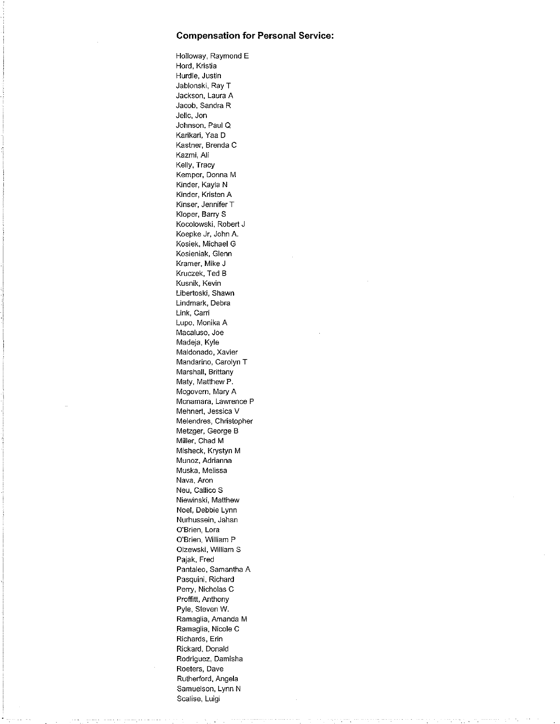Holloway, Raymond E Hord, Kristia Hurdle, Justin Jablonski, Ray T Jackson, Laura A Jacob, Sandra R Jelic, Jon Johnson, Paul Q Karikari, Yaa D Kastner, Brenda C Kazmi, Ali Kelly, Tracy Kemper, Donna M Kinder, Kayla N Kinder, Kristen A Kinser, Jennifer T Kloper, Barry S Kocolowski, Robert J Koepke Jr, John A. Kosiek, Michael G Kosieniak, Glenn Kramer, Mike J Kruczek, Ted B Kusnik, Kevin Libertoski, Shawn Lindmark, Debra Link, Carri Lupo, Monika A Macaluso, Joe Madeja, Kyle Maldonado, Xavier Mandarino, Carolyn T Marshall, Brittany Maty, Matthew P. Mcgovern, Mary A Mcnamara, Lawrence P Mehnert, Jessica V Melendres, Christopher Metzger, George B Miller, Chad M Misheck, Krystyn M Munoz, Adrianna Muska, Melissa Nava, Aron Neu, Callico S Niewinski, Matthew Noel, Debbie Lynn Nurhussein, Jahan O'Brien, Lora O'Brien, William P Olzewski, William S Pajak, Fred Pantaleo, Samantha A Pasquini, Richard Perry, Nicholas C Proffitt, Anthony Pyle, Steven W. Ramaglia, Amanda M Ramaglia, Nicole C Richards, Erin Rickard, Donald Rodriguez, Damisha Roeters, Dave Rutherford, Angela Samuelson, Lynn N Scalise, Luigi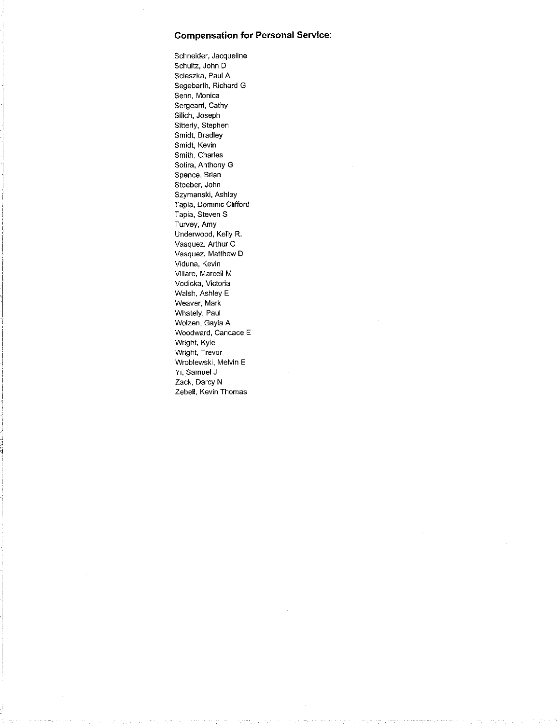Schneider, Jacqueline Schultz, John D Scieszka, Paul A Segebarth, Richard G Senn, Monica Sergeant, Cathy Silich, Joseph Sitterly, Stephen Smidt, Bradley Smidt, Kevin Smith, Charles Sotira, Anthony G Spence, Brian Stoeber, John Szymanski, Ashley Tapia, Dominic Clifford Tapia, Steven S Turvey, Amy Underwood, Kelly R. Vasquez, Arthur C Vasquez, Matthew D Viduna, Kevin Villare, Marcell M Vodicka, Victoria Walsh, Ashley E Weaver, Mark Whately, Paul Wolzen, Gayla A Woodward, Candace E Wright, Kyle Wright, Trevor Wroblewski, Melvin E Yi, Samuel J Zack, Darcy N Zebell, Kevin Thomas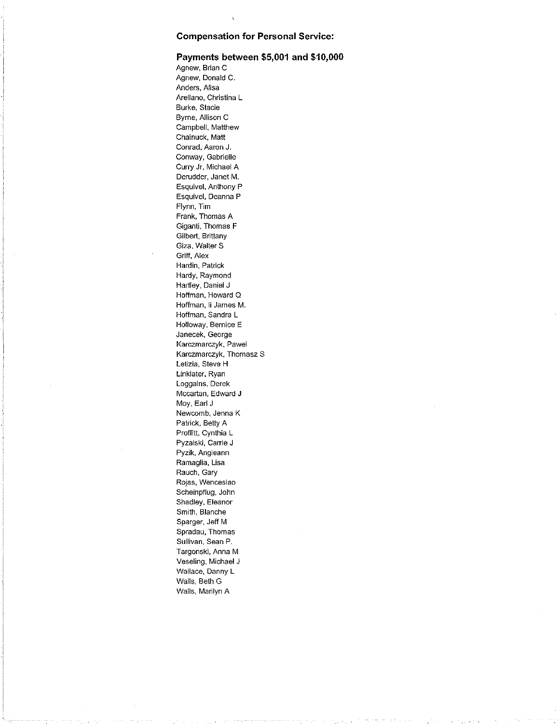#### Payments between \$5,001 and \$10,000

Agnew, Brian C Agnew, Donald C. Anders, Alisa Arellano, Christina L Burke, Stacie Byrne, Allison C Campbell, Matthew Chainuck, Matt Conrad, Aaron J. Conway, Gabrielle Curry Jr, Michael A Derudder, Janet M. Esquivel, Anthony P Esquivel, Deanna P Flynn, Tim Frank, Thomas A Giganti, Thomas F Gilbert, Brittany Giza, Walter S Griff, Alex Hardin, Patrick Hardy, Raymond Hartley, Daniel J Hoffman, Howard Q Hoffman, Ii James M. Hoffman, Sandra L Holloway, Bernice E Janecek, George Karczmarczyk, Pawel Karczmarczyk, Thomasz S Letizia, Steve H Linklater, Ryan Loggains, Derek Mccartan, Edward J Moy, Earl J Newcomb, Jenna K Patrick, Betty A Proffitt, Cynthia L Pyzalski, Carrie J Pyzik, Angieann Ramaglia, Lisa Rauch, Gary Rojas, Wenceslao Scheinpflug, John Shadley, Eleanor Smith, Blanche Sparger, Jeff M Spradau, Thomas Sullivan, Sean P. Targonski, Anna M Veseling, Michael J Wallace, Danny L Walls, Beth G Walls, Marilyn A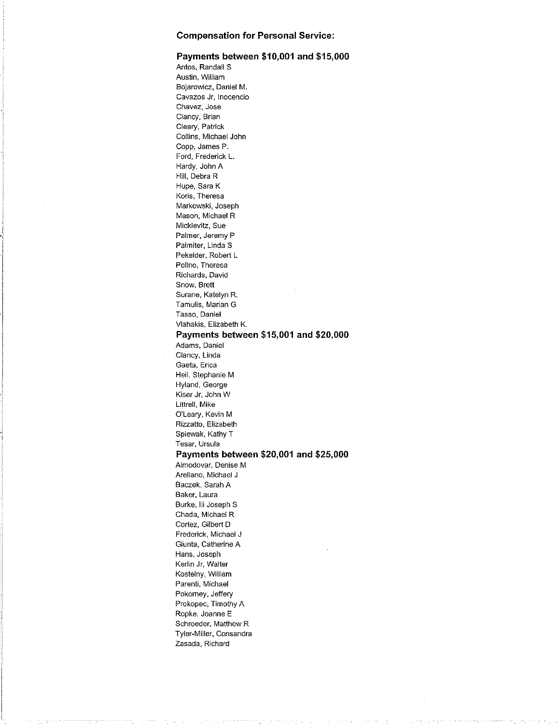### Payments between \$10,001 and \$15,000

Antos, Randall S Austin, William Bojarowicz, Daniel M. Cavazos Jr, Inocencio Chavez, Jose Clancy, Brian Cleary, Patrick Collins, Michael John Copp, James P. Ford, Frederick L. Hardy, John A Hill, Debra R Hupe, Sara K Koris, Theresa Markowski, Joseph Mason, Michael R Micklevitz, Sue Palmer, Jeremy P Palmiter, Linda S Pekelder, Robert L Polino, Theresa Richards, David Snow, Brett Surane, Katelyn R. Tamulis, Marian G Tasso, Daniel Vlahakis, Elizabeth K. Payments between \$15,001 and \$20,000 Adams, Daniel Clancy, Linda Gaeta, Erica Heil, Stephanie M Hyland, George Kiser Jr, John W Littrell, Mike O'Leary, Kevin M Rizzatto, Elizabeth Spiewak, Kathy T Tesar, Ursula Payments between \$20,001 and \$25,000 Almodovar, Denise M Arellano, Michael J Baczek, Sarah A Baker, Laura Burke, Iii Joseph S Chada, Michael R Cortez, Gilbert D Frederick, Michael J Giunta, Catherine A Hans, Joseph Kerlin Jr, Walter Kostelny, William Parenti, Michael Pokorney, Jeffery Prokopec, Timothy A Repke, Joanne E Schroeder, Matthew R Tyler-Miller, Consandra Zasada, Richard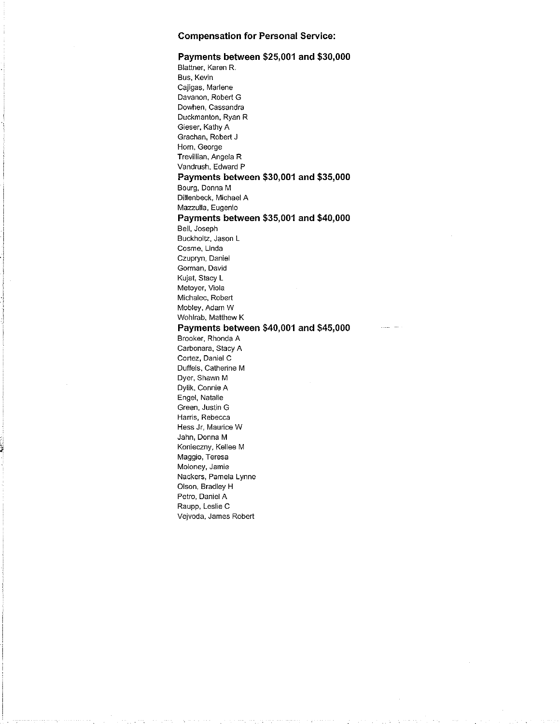#### Payments between \$25,001 and \$30,000 Blattner, Karen R. Bus, Kevin Cajigas, Marlene Davanon, Robert G Dowhen, Cassandra Duckmanton, Ryan R Gieser, Kathy A Grachan, Robert J Horn, George Trevillian, Angela R Vandrush, Edward P Payments between \$30,001 and \$35,000 Bourg, Donna M Dillenbeck, Michael A Mazzulla, Eugenio Payments between \$35,001 and \$40,000 Bell, Joseph Buckholtz, Jason L Cosme, Linda Czupryn, Daniel Gorman, David Kujat, Stacy L Metoyer, Viola Michalec, Robert Mobley, Adam W Wohlrab, Matthew K Payments between \$40,001 and \$45,000 Brooker, Rhonda A Carbonara, Stacy A Cortez, Daniel C

Duffels, Catherine M Dyer, Shawn M Dylik, Connie A Engel, Natalie Green, Justin G Harris, Rebecca Hess Jr, Maurice W Jahn, Donna M Konieczny, Kellee M Maggio, Teresa Moloney, Jamie Nackers, Pamela Lynne Olson, Bradley H Petro, Daniel A Raupp, Leslie C

Vejvoda, James Robert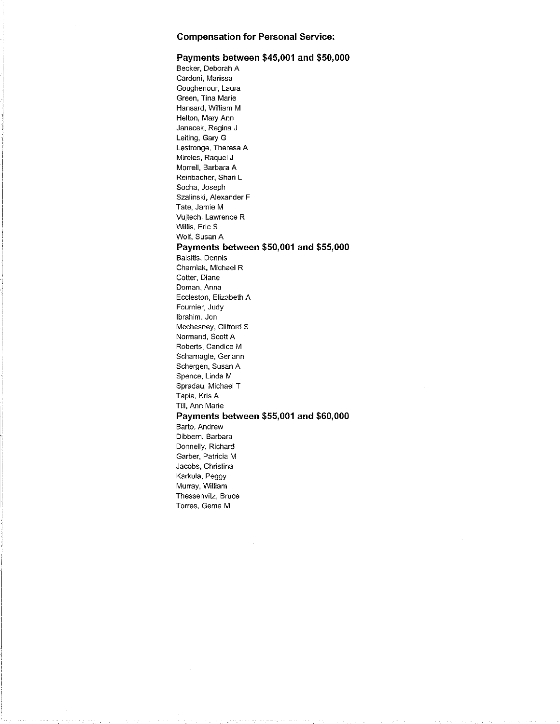#### Payments between \$45,001 and \$50,000

Becker, Deborah A Cardoni, Marissa Goughenour, Laura Green, Tina Marie Hansard, William M Helton, Mary Ann Janecek, Regina J Leiting, Gary G Lestronge, Theresa A Mireles, Raquel J Morrell, Barbara A Reinbacher, Shari L Socha, Joseph Szalinski, Alexander F Tate, Jamie M Vujtech, Lawrence R Willis, Eric S Wolf, Susan A Payments between \$50,001 and \$55,000 Balsitis, Dennis Charniak, Michael R Cotter, Diane Doman, Anna Eccleston, Elizabeth A Fournier, Judy Ibrahim, Jon Mcchesney, Clifford S Normand, Scott A Roberts, Candice M Scharnagle, Geriann Schergen, Susan A Spence, Linda M Spradau, Michael T Tapia, Kris A Till, Ann Marie Payments between \$55,001 and \$60,000 Barto, Andrew Dibbern, Barbara Donnelly, Richard Garber, Patricia M Jacobs, Christina Karkula, Peggy Murray, William Thessenvitz, Bruce Torres, Gema M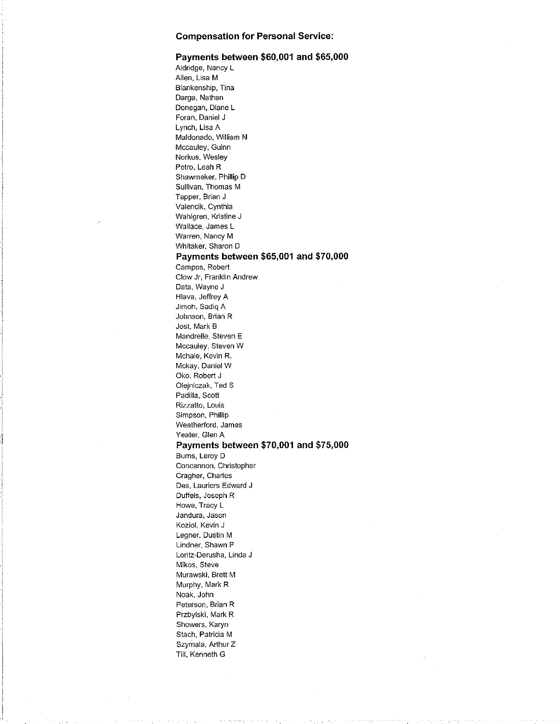#### Payments between \$60,001 and \$65,000

Aldridge, Nancy L Allen, Lisa M Blankenship, Tina Darga, Nathan Donegan, Diane L Foran, Daniel J Lynch, Lisa A Maldonado, William N Mccauley, Guinn Norkus, Wesley Petro, Leah R Shawmeker, Phillip D Sullivan, Thomas M Tapper, Brian J Valencik, Cynthia Wahlgren, Kristine J Wallace, James L Warren, Nancy M Whitaker, Sharon D Payments between \$65,001 and \$70,000 Campos, Robert Clow Jr, Franklin Andrew Data, Wayne J Hlava, Jeffrey A Jimoh, Sadiq A Johnson, Brian R Jost, Mark B Mandrelle, Steven E Mccauley, Steven W Mchale, Kevin R. Mckay, Daniel W Oka, Robert J Olejniczak, Ted S Padilla, Scott Rizzatto, Louis Simpson, Phillip Weatherford, James Yeater, Glen A Payments between \$70,001 and \$75,000 Burns, Leroy D Concannon, Christopher Cragher, Charles Des, Lauriers Edward J Duffels, Joseph R Howe, Tracy L Jandura, Jason Koziol, Kevin J Legner, Dustin M Lindner, Shawn P Loritz-Derusha, Linda J Mikos, Steve Murawski, Brett M Murphy, Mark R Noak, John Peterson, Brian R Przbylski, Mark R Showers, Karyn Stach, Patricia M Szymala, Arthur Z Till, Kenneth G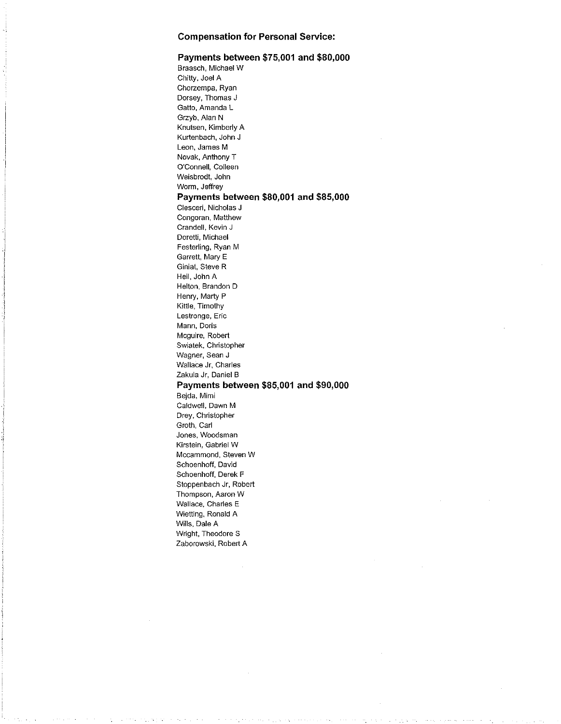#### Payments between \$75,001 and \$80,000

Braasch, Michael W Chitty, Joel A Chorzempa, Ryan Dorsey, Thomas J Gatto, Amanda L Grzyb, Alan N Knutsen, Kimberly A Kurtenbach, John J Leon, James M Novak, Anthony T O'Connell, Colleen Weisbrodt, John Worm, Jeffrey Payments between \$80,001 and \$85,000 Clesceri, Nicholas J Congoran, Matthew Crandell, Kevin J Doretti, Michael Festerling, Ryan M Garrett, Mary E Giniat, Steve R Heil, John A Helton, Brandon D Henry, Marty P Kittle, Timothy Lestronge, Eric Mann, Doris Mcguire, Robert Swiatek, Christopher Wagner, Sean J Wallace Jr, Charles Zakula Jr, Daniel B Payments between \$85,001 and \$90,000 Bejda, Mimi Caldwell, Dawn M Drey, Christopher Groth, Carl Jones, Woodsman Kirstein, Gabriel W Mccammond, Steven W Schoenhoff, David Schoenhoff, Derek F Stoppenbach Jr, Robert Thompson, Aaron W Wallace, Charles E Wietting, Ronald A Wills, Dale A Wright, Theodore S Zaborowski, Robert A